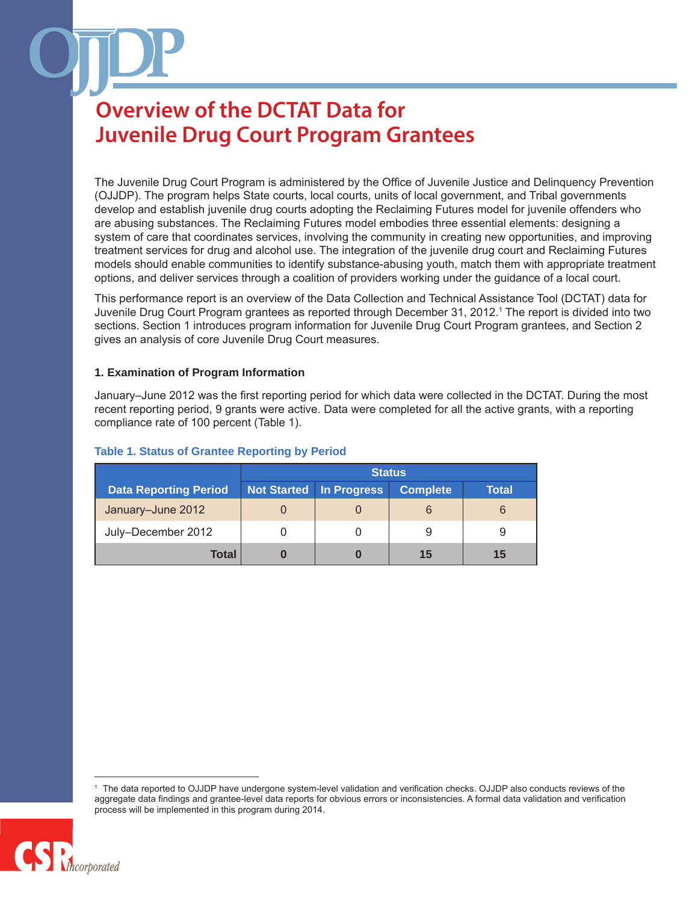The Juvenile Drug Court Program is administered by the Office of Juvenile Justice and Delinquency Prevention (OJJDP). The program helps State courts, local courts, units of local government, and Tribal governments develop and establish juvenile drug courts adopting the Reclaiming Futures model for juvenile offenders who are abusing substances. The Reclaiming Futures model embodies three essential elements: designing a system of care that coordinates services, involving the community in creating new opportunities, and improving treatment services for drug and alcohol use. The integration of the juvenile drug court and Reclaiming Futures models should enable communities to identify substance-abusing youth, match them with appropriate treatment options, and deliver services through a coalition of providers working under the guidance of a local court.

This performance report is an overview of the Data Collection and Technical Assistance Tool (DCTAT) data for Juvenile Drug Court Program grantees as reported through December 31, 2012.1 The report is divided into two sections. Section 1 introduces program information for Juvenile Drug Court Program grantees, and Section 2 gives an analysis of core Juvenile Drug Court measures.

#### **1. Examination of Program Information**

January–June 2012 was the first reporting period for which data were collected in the DCTAT. During the most recent reporting period, 9 grants were active. Data were completed for all the active grants, with a reporting compliance rate of 100 percent (Table 1).

|                              | <b>Status</b> |             |                 |              |
|------------------------------|---------------|-------------|-----------------|--------------|
| <b>Data Reporting Period</b> | Not Started   | In Progress | <b>Complete</b> | <b>Total</b> |
| January-June 2012            |               |             |                 | 6            |
| July-December 2012           |               |             | 9               |              |
| Total                        | O             |             | 15              | 15           |

### **Table 1. Status of Grantee Reporting by Period**

The data reported to OJJDP have undergone system-level validation and verification checks. OJJDP also conducts reviews of the aggregate data findings and grantee-level data reports for obvious errors or inconsistencies. A formal data validation and verification process will be implemented in this program during 2014.

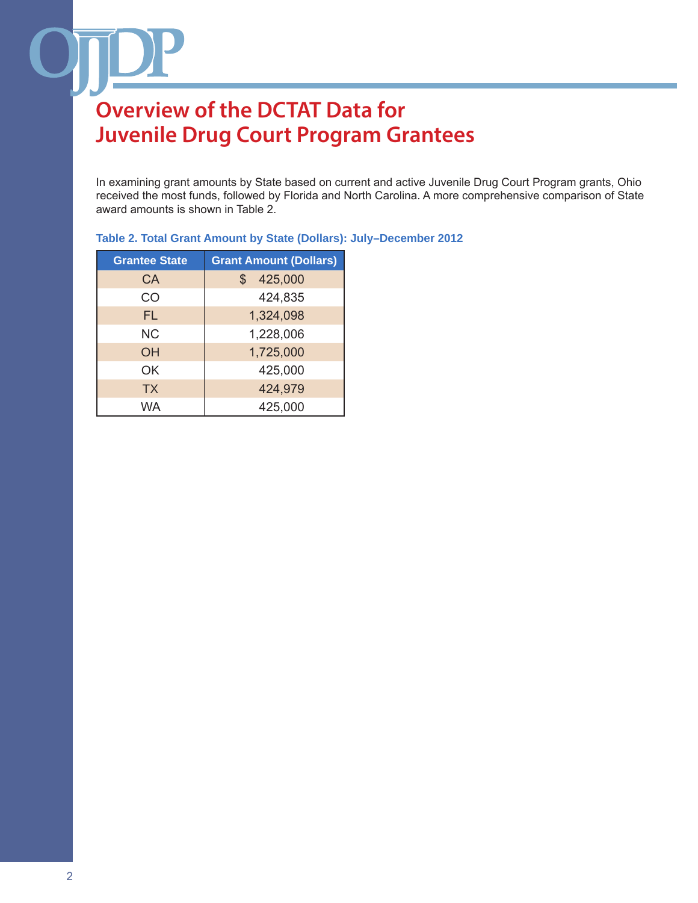In examining grant amounts by State based on current and active Juvenile Drug Court Program grants, Ohio received the most funds, followed by Florida and North Carolina. A more comprehensive comparison of State award amounts is shown in Table 2.

| <b>Grantee State</b> | <b>Grant Amount (Dollars)</b> |
|----------------------|-------------------------------|
| CA                   | 425,000<br>$\mathbb{S}$       |
| CO                   | 424,835                       |
| FL                   | 1,324,098                     |
| <b>NC</b>            | 1,228,006                     |
| ΟH                   | 1,725,000                     |
| OK                   | 425,000                       |
| <b>TX</b>            | 424,979                       |
| <b>WA</b>            | 425,000                       |

### **Table 2. Total Grant Amount by State (Dollars): July–December 2012**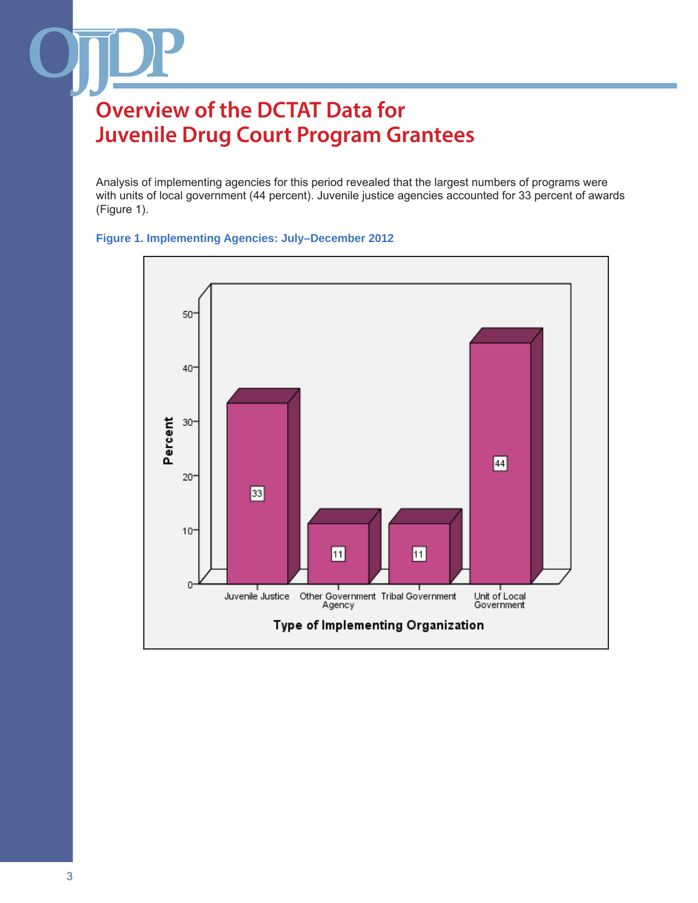Analysis of implementing agencies for this period revealed that the largest numbers of programs were with units of local government (44 percent). Juvenile justice agencies accounted for 33 percent of awards (Figure 1).



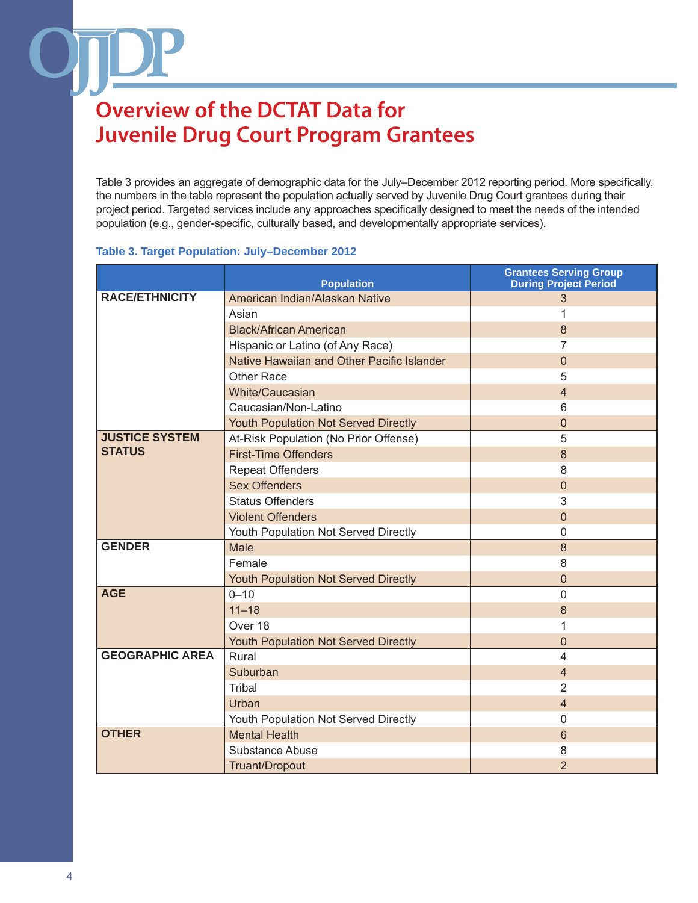Table 3 provides an aggregate of demographic data for the July–December 2012 reporting period. More specifically, the numbers in the table represent the population actually served by Juvenile Drug Court grantees during their project period. Targeted services include any approaches specifically designed to meet the needs of the intended population (e.g., gender-specific, culturally based, and developmentally appropriate services).

#### **Table 3. Target Population: July–December 2012**

|                        | <b>Population</b>                           | <b>Grantees Serving Group</b><br><b>During Project Period</b> |
|------------------------|---------------------------------------------|---------------------------------------------------------------|
| <b>RACE/ETHNICITY</b>  | American Indian/Alaskan Native              | 3                                                             |
|                        | Asian                                       |                                                               |
|                        | <b>Black/African American</b>               | 8                                                             |
|                        | Hispanic or Latino (of Any Race)            | 7                                                             |
|                        | Native Hawaiian and Other Pacific Islander  | $\mathbf 0$                                                   |
|                        | <b>Other Race</b>                           | 5                                                             |
|                        | White/Caucasian                             | $\overline{4}$                                                |
|                        | Caucasian/Non-Latino                        | 6                                                             |
|                        | <b>Youth Population Not Served Directly</b> | $\mathbf 0$                                                   |
| <b>JUSTICE SYSTEM</b>  | At-Risk Population (No Prior Offense)       | 5                                                             |
| <b>STATUS</b>          | <b>First-Time Offenders</b>                 | 8                                                             |
|                        | <b>Repeat Offenders</b>                     | 8                                                             |
|                        | <b>Sex Offenders</b>                        | $\theta$                                                      |
|                        | <b>Status Offenders</b>                     | 3                                                             |
|                        | <b>Violent Offenders</b>                    | $\Omega$                                                      |
|                        | Youth Population Not Served Directly        | $\mathbf 0$                                                   |
| <b>GENDER</b>          | <b>Male</b>                                 | 8                                                             |
|                        | Female                                      | 8                                                             |
|                        | Youth Population Not Served Directly        | $\mathbf 0$                                                   |
| <b>AGE</b>             | $0 - 10$                                    | $\mathbf{0}$                                                  |
|                        | $11 - 18$                                   | 8                                                             |
|                        | Over 18                                     | 1                                                             |
|                        | Youth Population Not Served Directly        | $\overline{0}$                                                |
| <b>GEOGRAPHIC AREA</b> | Rural                                       | 4                                                             |
|                        | Suburban                                    | $\overline{4}$                                                |
|                        | Tribal                                      | $\overline{2}$                                                |
|                        | Urban                                       | $\overline{4}$                                                |
|                        | Youth Population Not Served Directly        | $\mathbf 0$                                                   |
| <b>OTHER</b>           | <b>Mental Health</b>                        | 6                                                             |
|                        | Substance Abuse                             | 8                                                             |
|                        | Truant/Dropout                              | $\overline{2}$                                                |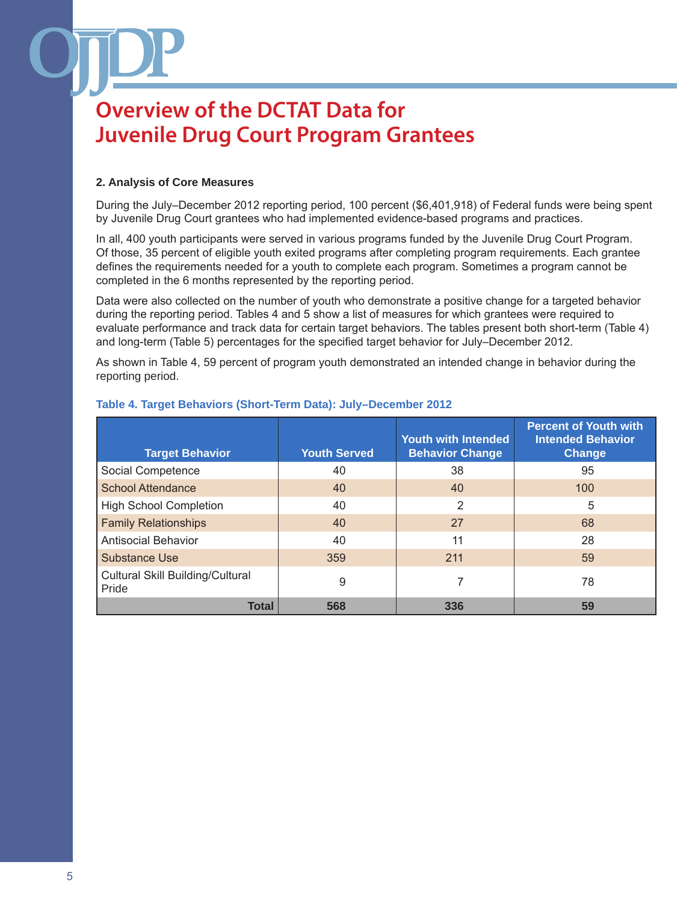### **2. Analysis of Core Measures**

During the July–December 2012 reporting period, 100 percent (\$6,401,918) of Federal funds were being spent by Juvenile Drug Court grantees who had implemented evidence-based programs and practices.

In all, 400 youth participants were served in various programs funded by the Juvenile Drug Court Program. Of those, 35 percent of eligible youth exited programs after completing program requirements. Each grantee defines the requirements needed for a youth to complete each program. Sometimes a program cannot be completed in the 6 months represented by the reporting period.

Data were also collected on the number of youth who demonstrate a positive change for a targeted behavior during the reporting period. Tables 4 and 5 show a list of measures for which grantees were required to evaluate performance and track data for certain target behaviors. The tables present both short-term (Table 4) and long-term (Table 5) percentages for the specified target behavior for July–December 2012.

As shown in Table 4, 59 percent of program youth demonstrated an intended change in behavior during the reporting period.

| <b>Target Behavior</b>                    | <b>Youth Served</b> | <b>Youth with Intended</b><br><b>Behavior Change</b> | <b>Percent of Youth with</b><br><b>Intended Behavior</b><br><b>Change</b> |
|-------------------------------------------|---------------------|------------------------------------------------------|---------------------------------------------------------------------------|
| Social Competence                         | 40                  | 38                                                   | 95                                                                        |
| <b>School Attendance</b>                  | 40                  | 40                                                   | 100                                                                       |
| <b>High School Completion</b>             | 40                  | 2                                                    | 5                                                                         |
| <b>Family Relationships</b>               | 40                  | 27                                                   | 68                                                                        |
| <b>Antisocial Behavior</b>                | 40                  | 11                                                   | 28                                                                        |
| Substance Use                             | 359                 | 211                                                  | 59                                                                        |
| Cultural Skill Building/Cultural<br>Pride | 9                   | 7                                                    | 78                                                                        |
| <b>Total</b>                              | 568                 | 336                                                  | 59                                                                        |

### **Table 4. Target Behaviors (Short-Term Data): July–December 2012**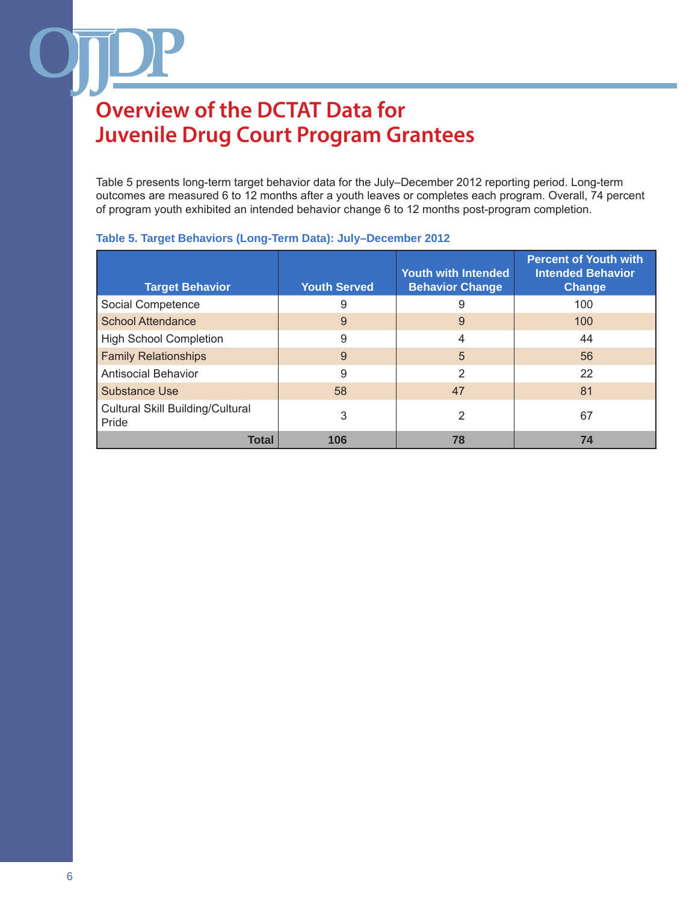Table 5 presents long-term target behavior data for the July–December 2012 reporting period. Long-term outcomes are measured 6 to 12 months after a youth leaves or completes each program. Overall, 74 percent of program youth exhibited an intended behavior change 6 to 12 months post-program completion.

| <b>Target Behavior</b>                           | <b>Youth Served</b> | <b>Youth with Intended</b><br><b>Behavior Change</b> | <b>Percent of Youth with</b><br><b>Intended Behavior</b><br><b>Change</b> |
|--------------------------------------------------|---------------------|------------------------------------------------------|---------------------------------------------------------------------------|
| Social Competence                                | 9                   | 9                                                    | 100                                                                       |
| <b>School Attendance</b>                         | 9                   | 9                                                    | 100                                                                       |
| <b>High School Completion</b>                    | 9                   | 4                                                    | 44                                                                        |
| <b>Family Relationships</b>                      | 9                   | $\overline{5}$                                       | 56                                                                        |
| <b>Antisocial Behavior</b>                       | 9                   | 2                                                    | 22                                                                        |
| <b>Substance Use</b>                             | 58                  | 47                                                   | 81                                                                        |
| <b>Cultural Skill Building/Cultural</b><br>Pride | 3                   | 2                                                    | 67                                                                        |
| <b>Total</b>                                     | 106                 | 78                                                   | 74                                                                        |

### **Table 5. Target Behaviors (Long-Term Data): July–December 2012**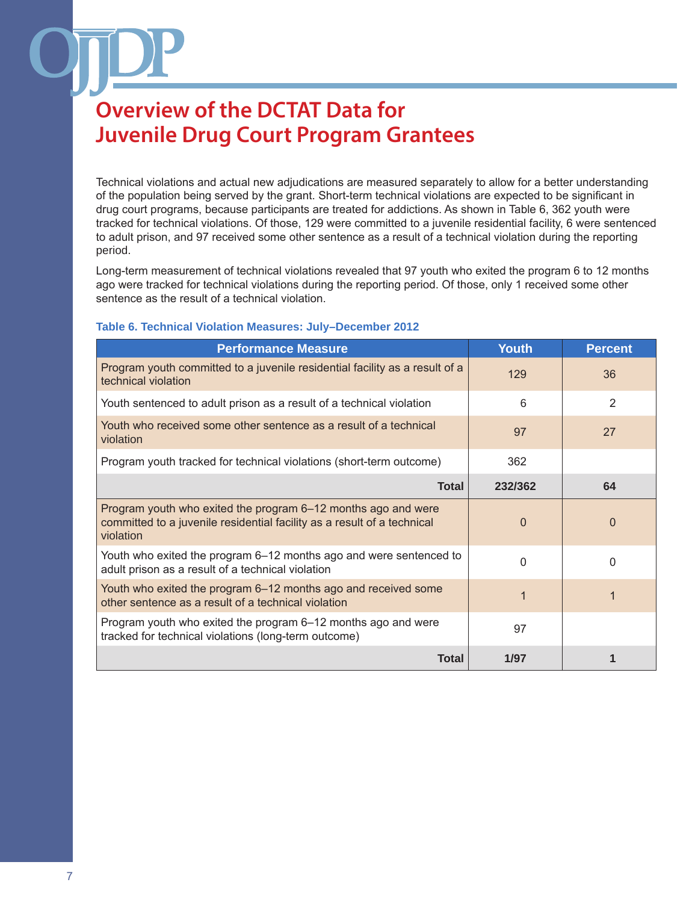Technical violations and actual new adjudications are measured separately to allow for a better understanding of the population being served by the grant. Short-term technical violations are expected to be significant in drug court programs, because participants are treated for addictions. As shown in Table 6, 362 youth were tracked for technical violations. Of those, 129 were committed to a juvenile residential facility, 6 were sentenced to adult prison, and 97 received some other sentence as a result of a technical violation during the reporting period.

Long-term measurement of technical violations revealed that 97 youth who exited the program 6 to 12 months ago were tracked for technical violations during the reporting period. Of those, only 1 received some other sentence as the result of a technical violation.

#### **Table 6. Technical Violation Measures: July–December 2012**

| <b>Performance Measure</b>                                                                                                                            | <b>Youth</b> | <b>Percent</b> |
|-------------------------------------------------------------------------------------------------------------------------------------------------------|--------------|----------------|
| Program youth committed to a juvenile residential facility as a result of a<br>technical violation                                                    | 129          | 36             |
| Youth sentenced to adult prison as a result of a technical violation                                                                                  | 6            | 2              |
| Youth who received some other sentence as a result of a technical<br>violation                                                                        | 97           | 27             |
| Program youth tracked for technical violations (short-term outcome)                                                                                   | 362          |                |
| <b>Total</b>                                                                                                                                          | 232/362      | 64             |
| Program youth who exited the program 6–12 months ago and were<br>committed to a juvenile residential facility as a result of a technical<br>violation | 0            | $\Omega$       |
| Youth who exited the program 6–12 months ago and were sentenced to<br>adult prison as a result of a technical violation                               | 0            | $\Omega$       |
| Youth who exited the program 6–12 months ago and received some<br>other sentence as a result of a technical violation                                 | 1            |                |
| Program youth who exited the program 6–12 months ago and were<br>tracked for technical violations (long-term outcome)                                 | 97           |                |
| <b>Total</b>                                                                                                                                          | 1/97         |                |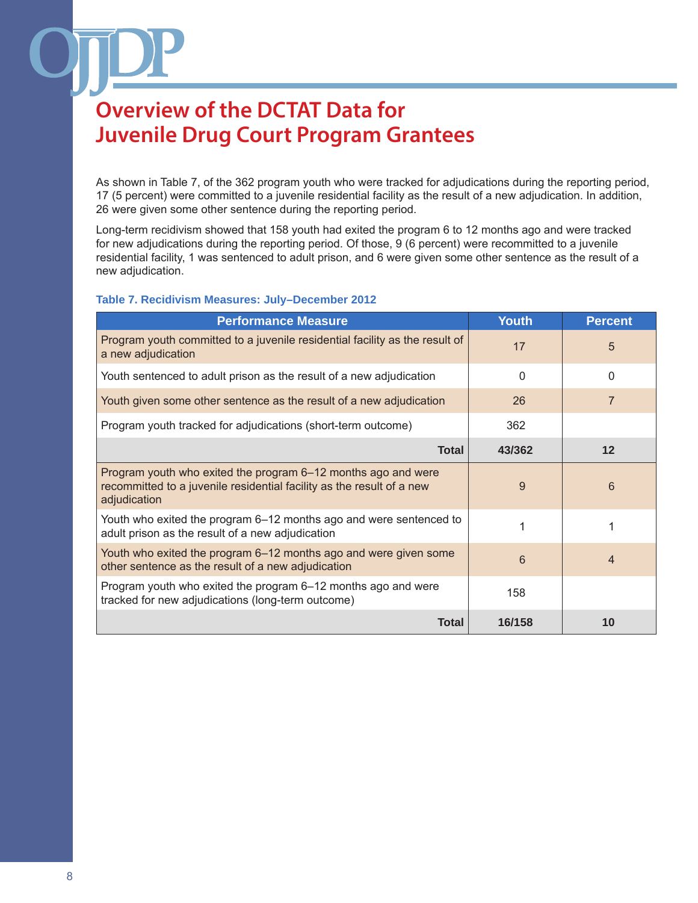As shown in Table 7, of the 362 program youth who were tracked for adjudications during the reporting period, 17 (5 percent) were committed to a juvenile residential facility as the result of a new adjudication. In addition, 26 were given some other sentence during the reporting period.

Long-term recidivism showed that 158 youth had exited the program 6 to 12 months ago and were tracked for new adjudications during the reporting period. Of those, 9 (6 percent) were recommitted to a juvenile residential facility, 1 was sentenced to adult prison, and 6 were given some other sentence as the result of a new adjudication.

#### **Table 7. Recidivism Measures: July–December 2012**

| <b>Performance Measure</b>                                                                                                                             | <b>Youth</b> | <b>Percent</b> |
|--------------------------------------------------------------------------------------------------------------------------------------------------------|--------------|----------------|
| Program youth committed to a juvenile residential facility as the result of<br>a new adjudication                                                      | 17           | 5              |
| Youth sentenced to adult prison as the result of a new adjudication                                                                                    | $\Omega$     | 0              |
| Youth given some other sentence as the result of a new adjudication                                                                                    | 26           | $\overline{7}$ |
| Program youth tracked for adjudications (short-term outcome)                                                                                           | 362          |                |
| <b>Total</b>                                                                                                                                           | 43/362       | 12             |
| Program youth who exited the program 6–12 months ago and were<br>recommitted to a juvenile residential facility as the result of a new<br>adjudication | 9            | 6              |
| Youth who exited the program 6–12 months ago and were sentenced to<br>adult prison as the result of a new adjudication                                 |              |                |
| Youth who exited the program 6–12 months ago and were given some<br>other sentence as the result of a new adjudication                                 | 6            | 4              |
| Program youth who exited the program 6–12 months ago and were<br>tracked for new adjudications (long-term outcome)                                     | 158          |                |
| <b>Total</b>                                                                                                                                           | 16/158       | 10             |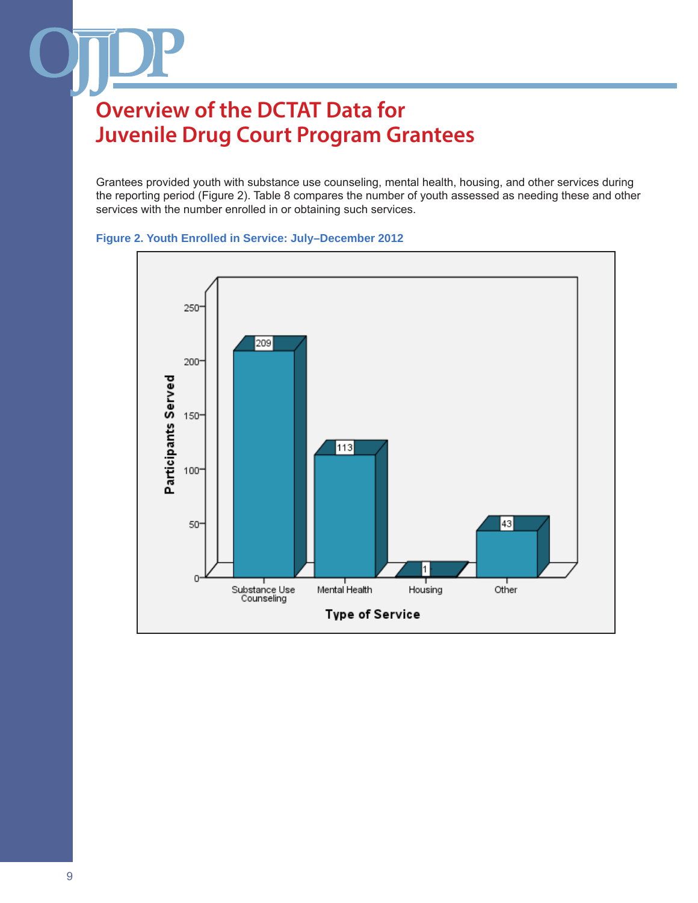Grantees provided youth with substance use counseling, mental health, housing, and other services during the reporting period (Figure 2). Table 8 compares the number of youth assessed as needing these and other services with the number enrolled in or obtaining such services.



### **Figure 2. Youth Enrolled in Service: July–December 2012**